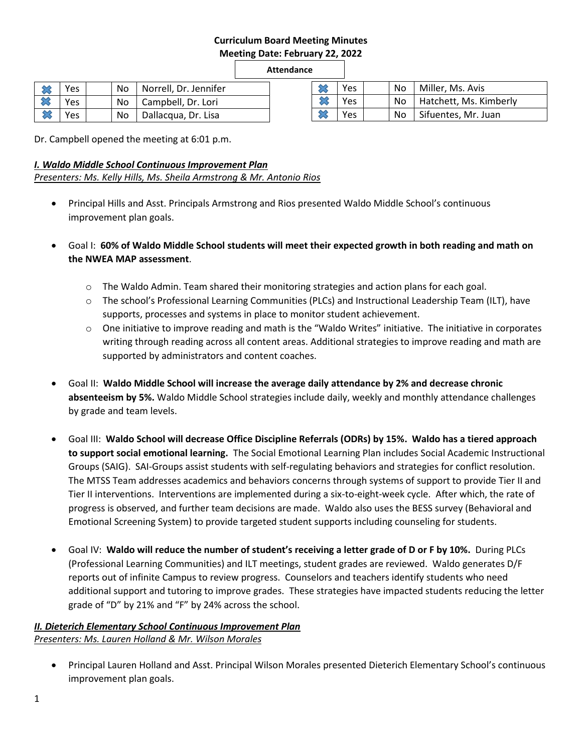# **Curriculum Board Meeting Minutes Meeting Date: February 22, 2022**

**Attendance**

| $\infty$ | <b>Yes</b> |    | No   Norrell, Dr. Jennifer |
|----------|------------|----|----------------------------|
|          | Yes        |    | No   Campbell, Dr. Lori    |
| ╳        | <b>Yes</b> | No | Dallacqua, Dr. Lisa        |

|  | Yes | No.  | Miller, Ms. Avis       |
|--|-----|------|------------------------|
|  | Yes | No l | Hatchett, Ms. Kimberly |
|  | ∨es | No.  | Sifuentes, Mr. Juan    |

Dr. Campbell opened the meeting at 6:01 p.m.

## *I. Waldo Middle School Continuous Improvement Plan*

*Presenters: Ms. Kelly Hills, Ms. Sheila Armstrong & Mr. Antonio Rios*

- Principal Hills and Asst. Principals Armstrong and Rios presented Waldo Middle School's continuous improvement plan goals.
- Goal I: **60% of Waldo Middle School students will meet their expected growth in both reading and math on the NWEA MAP assessment**.
	- $\circ$  The Waldo Admin. Team shared their monitoring strategies and action plans for each goal.
	- o The school's Professional Learning Communities (PLCs) and Instructional Leadership Team (ILT), have supports, processes and systems in place to monitor student achievement.
	- $\circ$  One initiative to improve reading and math is the "Waldo Writes" initiative. The initiative in corporates writing through reading across all content areas. Additional strategies to improve reading and math are supported by administrators and content coaches.
- Goal II: **Waldo Middle School will increase the average daily attendance by 2% and decrease chronic absenteeism by 5%.** Waldo Middle School strategies include daily, weekly and monthly attendance challenges by grade and team levels.
- Goal III: **Waldo School will decrease Office Discipline Referrals (ODRs) by 15%. Waldo has a tiered approach to support social emotional learning.** The Social Emotional Learning Plan includes Social Academic Instructional Groups (SAIG). SAI-Groups assist students with self-regulating behaviors and strategies for conflict resolution. The MTSS Team addresses academics and behaviors concerns through systems of support to provide Tier II and Tier II interventions. Interventions are implemented during a six-to-eight-week cycle. After which, the rate of progress is observed, and further team decisions are made. Waldo also uses the BESS survey (Behavioral and Emotional Screening System) to provide targeted student supports including counseling for students.
- Goal IV: **Waldo will reduce the number of student's receiving a letter grade of D or F by 10%.** During PLCs (Professional Learning Communities) and ILT meetings, student grades are reviewed. Waldo generates D/F reports out of infinite Campus to review progress. Counselors and teachers identify students who need additional support and tutoring to improve grades. These strategies have impacted students reducing the letter grade of "D" by 21% and "F" by 24% across the school.

# *II. Dieterich Elementary School Continuous Improvement Plan Presenters: Ms. Lauren Holland & Mr. Wilson Morales*

 Principal Lauren Holland and Asst. Principal Wilson Morales presented Dieterich Elementary School's continuous improvement plan goals.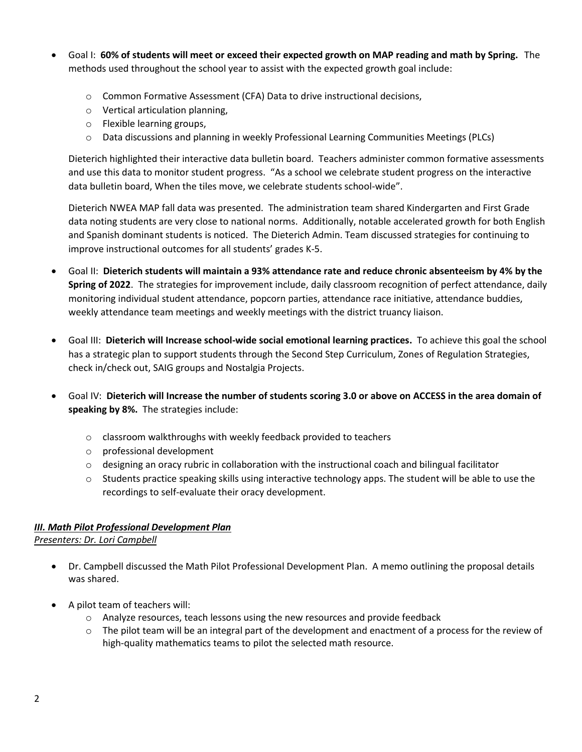- Goal I: **60% of students will meet or exceed their expected growth on MAP reading and math by Spring.** The methods used throughout the school year to assist with the expected growth goal include:
	- o Common Formative Assessment (CFA) Data to drive instructional decisions,
	- o Vertical articulation planning,
	- o Flexible learning groups,
	- $\circ$  Data discussions and planning in weekly Professional Learning Communities Meetings (PLCs)

Dieterich highlighted their interactive data bulletin board. Teachers administer common formative assessments and use this data to monitor student progress. "As a school we celebrate student progress on the interactive data bulletin board, When the tiles move, we celebrate students school-wide".

Dieterich NWEA MAP fall data was presented. The administration team shared Kindergarten and First Grade data noting students are very close to national norms. Additionally, notable accelerated growth for both English and Spanish dominant students is noticed. The Dieterich Admin. Team discussed strategies for continuing to improve instructional outcomes for all students' grades K-5.

- Goal II: **Dieterich students will maintain a 93% attendance rate and reduce chronic absenteeism by 4% by the Spring of 2022**. The strategies for improvement include, daily classroom recognition of perfect attendance, daily monitoring individual student attendance, popcorn parties, attendance race initiative, attendance buddies, weekly attendance team meetings and weekly meetings with the district truancy liaison.
- Goal III: **Dieterich will Increase school-wide social emotional learning practices.** To achieve this goal the school has a strategic plan to support students through the Second Step Curriculum, Zones of Regulation Strategies, check in/check out, SAIG groups and Nostalgia Projects.
- Goal IV: **Dieterich will Increase the number of students scoring 3.0 or above on ACCESS in the area domain of speaking by 8%.** The strategies include:
	- o classroom walkthroughs with weekly feedback provided to teachers
	- o professional development
	- $\circ$  designing an oracy rubric in collaboration with the instructional coach and bilingual facilitator
	- $\circ$  Students practice speaking skills using interactive technology apps. The student will be able to use the recordings to self-evaluate their oracy development.

# *III. Math Pilot Professional Development Plan*

*Presenters: Dr. Lori Campbell*

- Dr. Campbell discussed the Math Pilot Professional Development Plan. A memo outlining the proposal details was shared.
- A pilot team of teachers will:
	- $\circ$  Analyze resources, teach lessons using the new resources and provide feedback
	- $\circ$  The pilot team will be an integral part of the development and enactment of a process for the review of high-quality mathematics teams to pilot the selected math resource.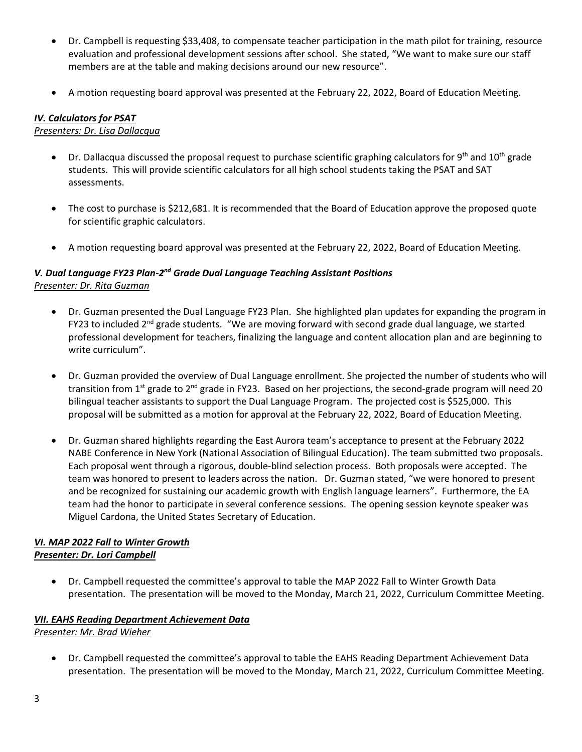- Dr. Campbell is requesting \$33,408, to compensate teacher participation in the math pilot for training, resource evaluation and professional development sessions after school. She stated, "We want to make sure our staff members are at the table and making decisions around our new resource".
- A motion requesting board approval was presented at the February 22, 2022, Board of Education Meeting.

#### *IV. Calculators for PSAT*

#### *Presenters: Dr. Lisa Dallacqua*

- Dr. Dallacqua discussed the proposal request to purchase scientific graphing calculators for 9<sup>th</sup> and 10<sup>th</sup> grade students. This will provide scientific calculators for all high school students taking the PSAT and SAT assessments.
- The cost to purchase is \$212,681. It is recommended that the Board of Education approve the proposed quote for scientific graphic calculators.
- A motion requesting board approval was presented at the February 22, 2022, Board of Education Meeting.

## **V. Dual Language FY23 Plan-2<sup>nd</sup> Grade Dual Language Teaching Assistant Positions** *Presenter: Dr. Rita Guzman*

- Dr. Guzman presented the Dual Language FY23 Plan. She highlighted plan updates for expanding the program in FY23 to included  $2<sup>nd</sup>$  grade students. "We are moving forward with second grade dual language, we started professional development for teachers, finalizing the language and content allocation plan and are beginning to write curriculum".
- Dr. Guzman provided the overview of Dual Language enrollment. She projected the number of students who will transition from 1<sup>st</sup> grade to 2<sup>nd</sup> grade in FY23. Based on her projections, the second-grade program will need 20 bilingual teacher assistants to support the Dual Language Program. The projected cost is \$525,000. This proposal will be submitted as a motion for approval at the February 22, 2022, Board of Education Meeting.
- Dr. Guzman shared highlights regarding the East Aurora team's acceptance to present at the February 2022 NABE Conference in New York (National Association of Bilingual Education). The team submitted two proposals. Each proposal went through a rigorous, double-blind selection process. Both proposals were accepted. The team was honored to present to leaders across the nation. Dr. Guzman stated, "we were honored to present and be recognized for sustaining our academic growth with English language learners". Furthermore, the EA team had the honor to participate in several conference sessions. The opening session keynote speaker was Miguel Cardona, the United States Secretary of Education.

#### *VI. MAP 2022 Fall to Winter Growth Presenter: Dr. Lori Campbell*

 Dr. Campbell requested the committee's approval to table the MAP 2022 Fall to Winter Growth Data presentation. The presentation will be moved to the Monday, March 21, 2022, Curriculum Committee Meeting.

#### *VII. EAHS Reading Department Achievement Data Presenter: Mr. Brad Wieher*

 Dr. Campbell requested the committee's approval to table the EAHS Reading Department Achievement Data presentation. The presentation will be moved to the Monday, March 21, 2022, Curriculum Committee Meeting.